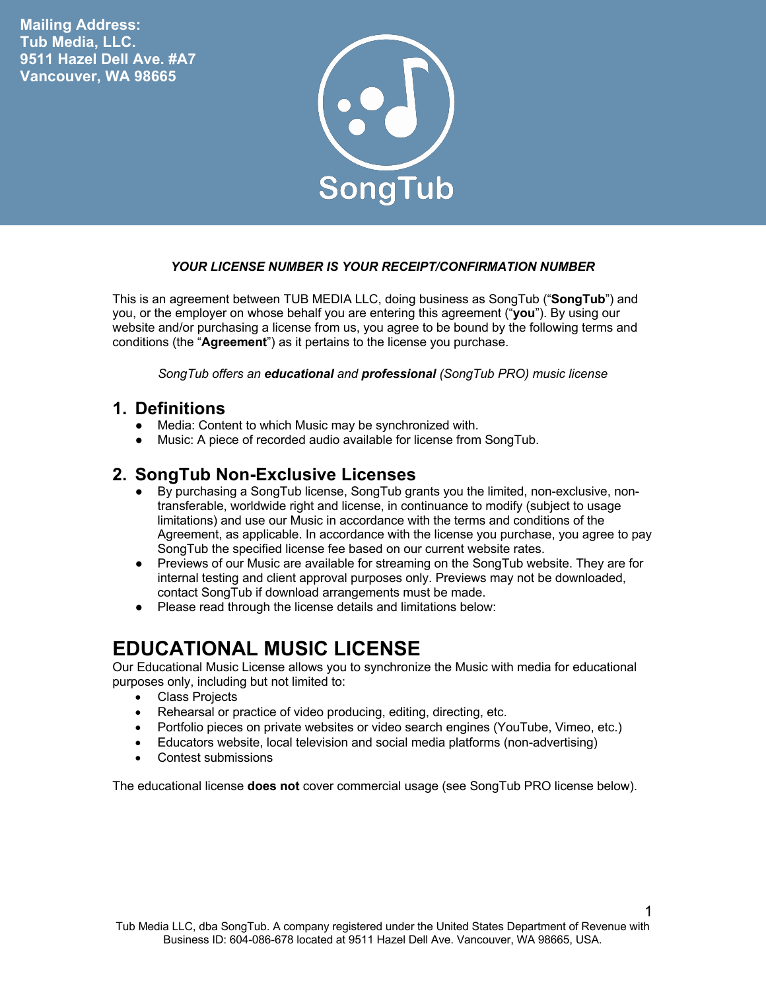**Mailing Address: Tub Media, LLC. 9511 Hazel Dell Ave. #A7 Vancouver, WA 98665**



#### *YOUR LICENSE NUMBER IS YOUR RECEIPT/CONFIRMATION NUMBER*

This is an agreement between TUB MEDIA LLC, doing business as SongTub ("**SongTub**") and you, or the employer on whose behalf you are entering this agreement ("**you**"). By using our website and/or purchasing a license from us, you agree to be bound by the following terms and conditions (the "**Agreement**") as it pertains to the license you purchase.

*SongTub offers an educational and professional (SongTub PRO) music license*

#### **1. Definitions**

- Media: Content to which Music may be synchronized with.
- Music: A piece of recorded audio available for license from SongTub.

#### **2. SongTub Non-Exclusive Licenses**

- By purchasing a SongTub license, SongTub grants you the limited, non-exclusive, nontransferable, worldwide right and license, in continuance to modify (subject to usage limitations) and use our Music in accordance with the terms and conditions of the Agreement, as applicable. In accordance with the license you purchase, you agree to pay SongTub the specified license fee based on our current website rates.
- Previews of our Music are available for streaming on the SongTub website. They are for internal testing and client approval purposes only. Previews may not be downloaded, contact SongTub if download arrangements must be made.
- Please read through the license details and limitations below:

## **EDUCATIONAL MUSIC LICENSE**

Our Educational Music License allows you to synchronize the Music with media for educational purposes only, including but not limited to:

- Class Projects
- Rehearsal or practice of video producing, editing, directing, etc.
- Portfolio pieces on private websites or video search engines (YouTube, Vimeo, etc.)
- Educators website, local television and social media platforms (non-advertising)
- Contest submissions

The educational license **does not** cover commercial usage (see SongTub PRO license below).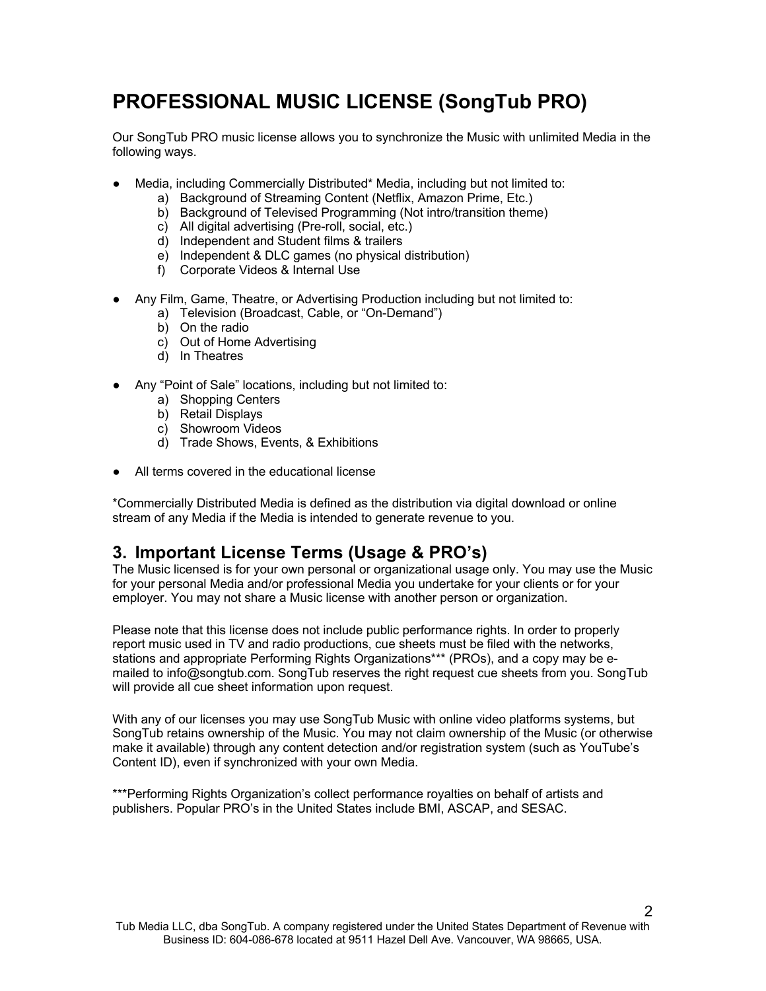# **PROFESSIONAL MUSIC LICENSE (SongTub PRO)**

Our SongTub PRO music license allows you to synchronize the Music with unlimited Media in the following ways.

- Media, including Commercially Distributed\* Media, including but not limited to:
	- a) Background of Streaming Content (Netflix, Amazon Prime, Etc.)
	- b) Background of Televised Programming (Not intro/transition theme)
	- c) All digital advertising (Pre-roll, social, etc.)
	- d) Independent and Student films & trailers
	- e) Independent & DLC games (no physical distribution)
	- f) Corporate Videos & Internal Use
- Any Film, Game, Theatre, or Advertising Production including but not limited to:
	- a) Television (Broadcast, Cable, or "On-Demand")
	- b) On the radio
	- c) Out of Home Advertising
	- d) In Theatres
- Any "Point of Sale" locations, including but not limited to:
	- a) Shopping Centers
	- b) Retail Displays
	- c) Showroom Videos
	- d) Trade Shows, Events, & Exhibitions
- All terms covered in the educational license

\*Commercially Distributed Media is defined as the distribution via digital download or online stream of any Media if the Media is intended to generate revenue to you.

### **3. Important License Terms (Usage & PRO's)**

The Music licensed is for your own personal or organizational usage only. You may use the Music for your personal Media and/or professional Media you undertake for your clients or for your employer. You may not share a Music license with another person or organization.

Please note that this license does not include public performance rights. In order to properly report music used in TV and radio productions, cue sheets must be filed with the networks, stations and appropriate Performing Rights Organizations\*\*\* (PROs), and a copy may be emailed to info@songtub.com. SongTub reserves the right request cue sheets from you. SongTub will provide all cue sheet information upon request.

With any of our licenses you may use SongTub Music with online video platforms systems, but SongTub retains ownership of the Music. You may not claim ownership of the Music (or otherwise make it available) through any content detection and/or registration system (such as YouTube's Content ID), even if synchronized with your own Media.

\*\*\*Performing Rights Organization's collect performance royalties on behalf of artists and publishers. Popular PRO's in the United States include BMI, ASCAP, and SESAC.